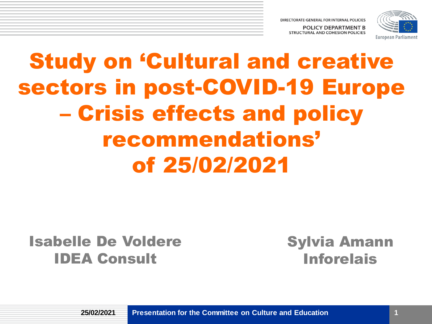

# Study on 'Cultural and creative sectors in post-COVID-19 Europe – Crisis effects and policy recommendations' of 25/02/2021

### Isabelle De Voldere IDEA Consult

Sylvia Amann Inforelais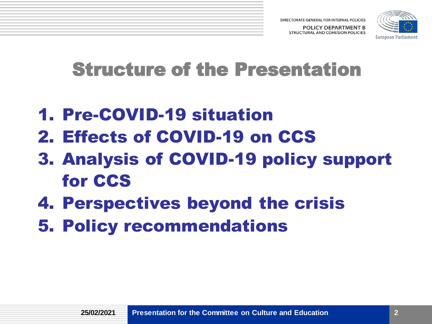

## Structure of the Presentation

- 1. Pre-COVID-19 situation
- 2. Effects of COVID-19 on CCS
- 3. Analysis of COVID-19 policy support for CCS
- 4. Perspectives beyond the crisis
- 5. Policy recommendations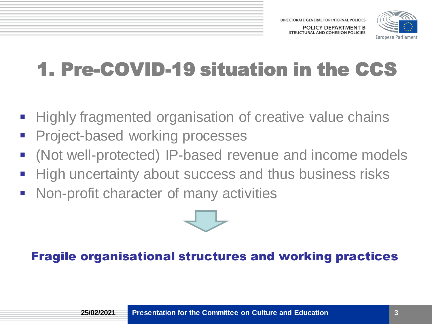

# 1. Pre-COVID-19 situation in the CCS

- Highly fragmented organisation of creative value chains
- **Project-based working processes**
- (Not well-protected) IP-based revenue and income models
- High uncertainty about success and thus business risks
- **Non-profit character of many activities**



#### Fragile organisational structures and working practices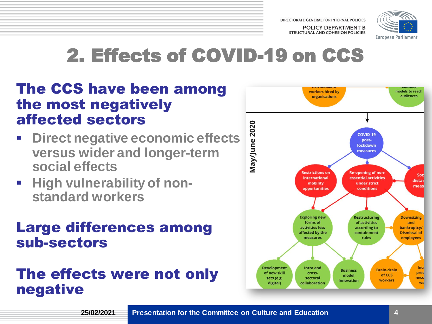

# 2. Effects of COVID-19 on CCS

### The CCS have been among the most negatively affected sectors

- **Direct negative economic effects versus wider and longer-term social effects**
- **E** High vulnerability of non**standard workers**

#### Large differences among sub-sectors

## The effects were not only negative

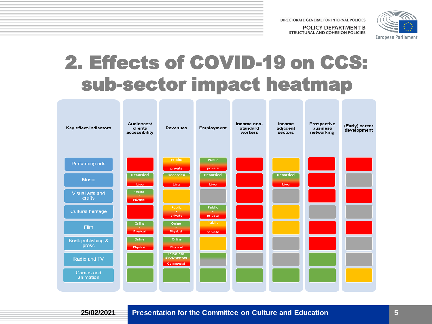

## 2. Effects of COVID-19 on CCS: sub-sector impact heatmap



**25/02/2021**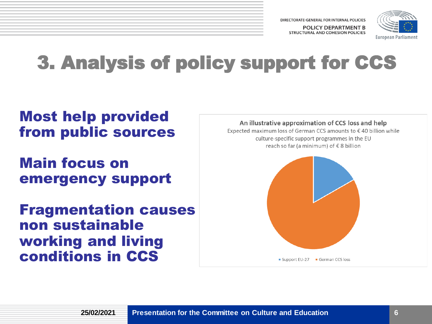DIRECTORATE-GENERAL FOR INTERNAL POLICIES POLICY DEPARTMENT B

STRUCTURAL AND COHESION POLICIES



# 3. Analysis of policy support for CCS

### Most help provided from public sources

Main focus on emergency support

Fragmentation causes non sustainable working and living conditions in CCS

An illustrative approximation of CCS loss and help

Expected maximum loss of German CCS amounts to €40 billion while culture-specific support programmes in the EU reach so far (a minimum) of €8 billion

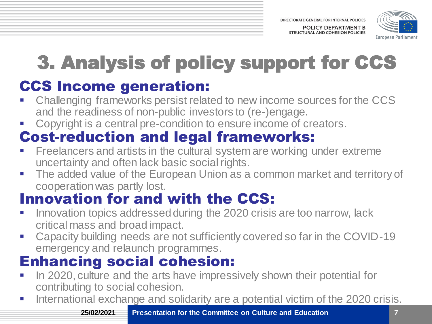

# 3. Analysis of policy support for CCS

## CCS Income generation:

- Challenging frameworks persist related to new income sources for the CCS and the readiness of non-public investors to (re-)engage.
- Copyright is a central pre-condition to ensure income of creators.

## Cost-reduction and legal frameworks:

- Freelancers and artists in the cultural system are working under extreme uncertainty and often lack basic social rights.
- The added value of the European Union as a common market and territory of cooperation was partly lost.

## Innovation for and with the CCS:

- Innovation topics addressed during the 2020 crisis are too narrow, lack critical mass and broad impact.
- Capacity building needs are not sufficiently covered so far in the COVID-19 emergency and relaunch programmes.

## Enhancing social cohesion:

- In 2020, culture and the arts have impressively shown their potential for contributing to social cohesion.
- International exchange and solidarity are a potential victim of the 2020 crisis.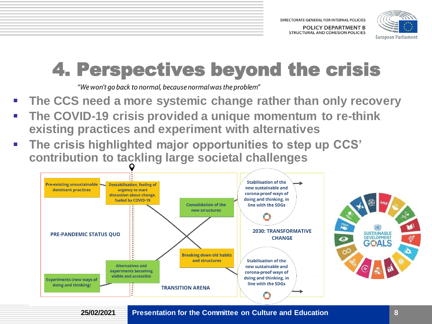

# 4. Perspectives beyond the crisis

"We won't go back to normal, because normal was the problem"

- **The CCS need a more systemic change rather than only recovery**
- **The COVID-19 crisis provided a unique momentum to re-think existing practices and experiment with alternatives**
- **The crisis highlighted major opportunities to step up CCS' contribution to tackling large societal challenges**



**25/02/2021**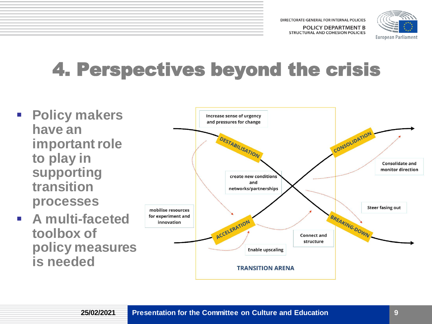DIRECTORATE-GENERAL FOR INTERNAL POLICIES

**POLICY DEPARTMENT B** STRUCTURAL AND COHESION POLICIES



# 4. Perspectives beyond the crisis

- **Policy makers have an important role to play in supporting transition processes**
- **A multi-faceted toolbox of policy measures is needed**

**25/02/2021**

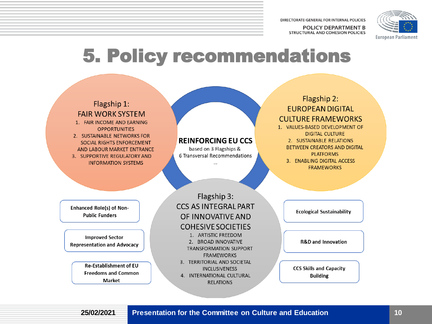DIRECTORATE-GENERAL FOR INTERNAL POLICIES **POLICY DEPARTMENT B** 

**STRUCTURAL AND COHESION POLICIES** 



## 5. Policy recommendations